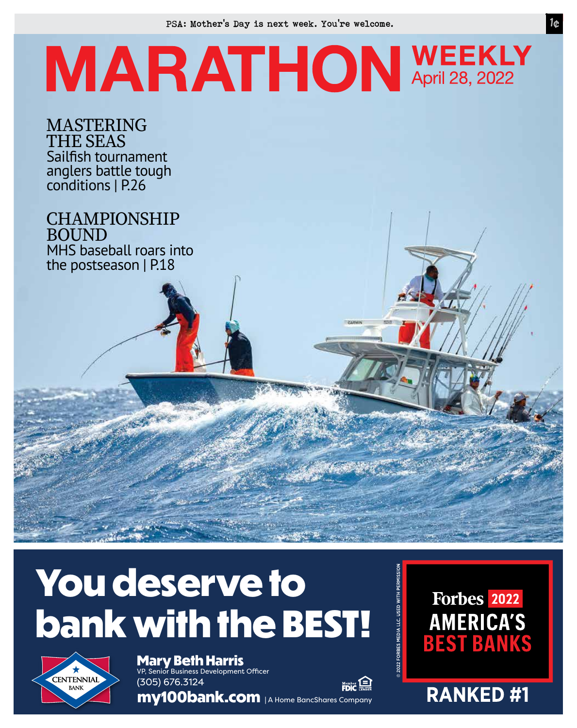PSA: Mother's Day is next week. You're welcome.

## **MARATHON WEEKLY**

MASTERING THE SEAS Sailfish tournament anglers battle tough conditions | P.26

**CHAMPIONSHIP** BOUND MHS baseball roars into the postseason | P.18

## **You deserve to bank with the BEST!**



**Mary Beth Harris** VP, Senior Business Development Officer (305) 676.3124

**my100bank.com** | A Home BancShares Company

Forbes 2022 **AMERICA'S BEST BANKS** 

**RANKED#1**